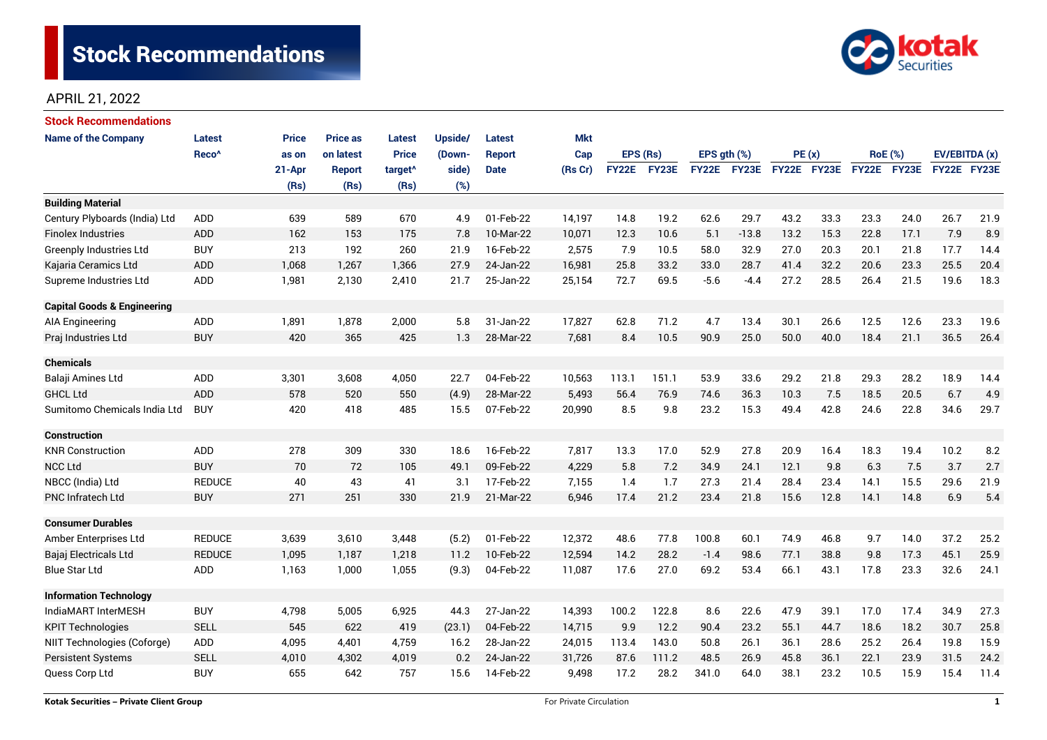

## APRIL 21, 2022

| <b>Stock Recommendations</b>           |                   |              |                 |                     |         |               |            |              |       |                  |                    |             |      |                |             |               |      |
|----------------------------------------|-------------------|--------------|-----------------|---------------------|---------|---------------|------------|--------------|-------|------------------|--------------------|-------------|------|----------------|-------------|---------------|------|
| <b>Name of the Company</b>             | <b>Latest</b>     | <b>Price</b> | <b>Price as</b> | <b>Latest</b>       | Upside/ | <b>Latest</b> | <b>Mkt</b> |              |       |                  |                    |             |      |                |             |               |      |
|                                        | Reco <sup>^</sup> | as on        | on latest       | <b>Price</b>        | (Down-  | <b>Report</b> | Cap        | EPS (Rs)     |       | EPS $gth$ $(\%)$ |                    | PE(x)       |      | <b>RoE</b> (%) |             | EV/EBITDA (x) |      |
|                                        |                   | 21-Apr       | <b>Report</b>   | target <sup>^</sup> | side)   | <b>Date</b>   | (Rs Cr)    | <b>FY22E</b> | FY23E |                  | <b>FY22E FY23E</b> | FY22E FY23E |      |                | FY22E FY23E | FY22E FY23E   |      |
|                                        |                   | (Rs)         | (Rs)            | (Rs)                | (%)     |               |            |              |       |                  |                    |             |      |                |             |               |      |
| <b>Building Material</b>               |                   |              |                 |                     |         |               |            |              |       |                  |                    |             |      |                |             |               |      |
| Century Plyboards (India) Ltd          | <b>ADD</b>        | 639          | 589             | 670                 | 4.9     | 01-Feb-22     | 14,197     | 14.8         | 19.2  | 62.6             | 29.7               | 43.2        | 33.3 | 23.3           | 24.0        | 26.7          | 21.9 |
| <b>Finolex Industries</b>              | <b>ADD</b>        | 162          | 153             | 175                 | 7.8     | 10-Mar-22     | 10,071     | 12.3         | 10.6  | 5.1              | $-13.8$            | 13.2        | 15.3 | 22.8           | 17.1        | 7.9           | 8.9  |
| <b>Greenply Industries Ltd</b>         | <b>BUY</b>        | 213          | 192             | 260                 | 21.9    | 16-Feb-22     | 2,575      | 7.9          | 10.5  | 58.0             | 32.9               | 27.0        | 20.3 | 20.1           | 21.8        | 17.7          | 14.4 |
| Kajaria Ceramics Ltd                   | <b>ADD</b>        | 1,068        | 1,267           | 1,366               | 27.9    | 24-Jan-22     | 16,981     | 25.8         | 33.2  | 33.0             | 28.7               | 41.4        | 32.2 | 20.6           | 23.3        | 25.5          | 20.4 |
| Supreme Industries Ltd                 | <b>ADD</b>        | 1,981        | 2,130           | 2,410               | 21.7    | 25-Jan-22     | 25,154     | 72.7         | 69.5  | $-5.6$           | $-4.4$             | 27.2        | 28.5 | 26.4           | 21.5        | 19.6          | 18.3 |
| <b>Capital Goods &amp; Engineering</b> |                   |              |                 |                     |         |               |            |              |       |                  |                    |             |      |                |             |               |      |
| AIA Engineering                        | ADD               | 1,891        | 1,878           | 2,000               | 5.8     | 31-Jan-22     | 17,827     | 62.8         | 71.2  | 4.7              | 13.4               | 30.1        | 26.6 | 12.5           | 12.6        | 23.3          | 19.6 |
| Praj Industries Ltd                    | <b>BUY</b>        | 420          | 365             | 425                 | 1.3     | 28-Mar-22     | 7,681      | 8.4          | 10.5  | 90.9             | 25.0               | 50.0        | 40.0 | 18.4           | 21.1        | 36.5          | 26.4 |
| <b>Chemicals</b>                       |                   |              |                 |                     |         |               |            |              |       |                  |                    |             |      |                |             |               |      |
| Balaji Amines Ltd                      | ADD               | 3,301        | 3,608           | 4,050               | 22.7    | 04-Feb-22     | 10,563     | 113.1        | 151.1 | 53.9             | 33.6               | 29.2        | 21.8 | 29.3           | 28.2        | 18.9          | 14.4 |
| <b>GHCL Ltd</b>                        | <b>ADD</b>        | 578          | 520             | 550                 | (4.9)   | 28-Mar-22     | 5,493      | 56.4         | 76.9  | 74.6             | 36.3               | 10.3        | 7.5  | 18.5           | 20.5        | 6.7           | 4.9  |
| Sumitomo Chemicals India Ltd           | <b>BUY</b>        | 420          | 418             | 485                 | 15.5    | 07-Feb-22     | 20,990     | 8.5          | 9.8   | 23.2             | 15.3               | 49.4        | 42.8 | 24.6           | 22.8        | 34.6          | 29.7 |
| <b>Construction</b>                    |                   |              |                 |                     |         |               |            |              |       |                  |                    |             |      |                |             |               |      |
| <b>KNR Construction</b>                | ADD               | 278          | 309             | 330                 | 18.6    | 16-Feb-22     | 7,817      | 13.3         | 17.0  | 52.9             | 27.8               | 20.9        | 16.4 | 18.3           | 19.4        | 10.2          | 8.2  |
| <b>NCC Ltd</b>                         | <b>BUY</b>        | 70           | 72              | 105                 | 49.1    | 09-Feb-22     | 4,229      | 5.8          | 7.2   | 34.9             | 24.1               | 12.1        | 9.8  | 6.3            | 7.5         | 3.7           | 2.7  |
| NBCC (India) Ltd                       | <b>REDUCE</b>     | 40           | 43              | 41                  | 3.1     | 17-Feb-22     | 7,155      | 1.4          | 1.7   | 27.3             | 21.4               | 28.4        | 23.4 | 14.1           | 15.5        | 29.6          | 21.9 |
| <b>PNC Infratech Ltd</b>               | <b>BUY</b>        | 271          | 251             | 330                 | 21.9    | 21-Mar-22     | 6,946      | 17.4         | 21.2  | 23.4             | 21.8               | 15.6        | 12.8 | 14.1           | 14.8        | 6.9           | 5.4  |
| <b>Consumer Durables</b>               |                   |              |                 |                     |         |               |            |              |       |                  |                    |             |      |                |             |               |      |
| Amber Enterprises Ltd                  | <b>REDUCE</b>     | 3,639        | 3,610           | 3,448               | (5.2)   | 01-Feb-22     | 12,372     | 48.6         | 77.8  | 100.8            | 60.1               | 74.9        | 46.8 | 9.7            | 14.0        | 37.2          | 25.2 |
| Bajaj Electricals Ltd                  | <b>REDUCE</b>     | 1,095        | 1,187           | 1,218               | 11.2    | 10-Feb-22     | 12,594     | 14.2         | 28.2  | $-1.4$           | 98.6               | 77.1        | 38.8 | 9.8            | 17.3        | 45.1          | 25.9 |
| <b>Blue Star Ltd</b>                   | <b>ADD</b>        | 1,163        | 1.000           | 1,055               | (9.3)   | 04-Feb-22     | 11,087     | 17.6         | 27.0  | 69.2             | 53.4               | 66.1        | 43.1 | 17.8           | 23.3        | 32.6          | 24.1 |
| <b>Information Technology</b>          |                   |              |                 |                     |         |               |            |              |       |                  |                    |             |      |                |             |               |      |
| IndiaMART InterMESH                    | <b>BUY</b>        | 4,798        | 5,005           | 6,925               | 44.3    | 27-Jan-22     | 14,393     | 100.2        | 122.8 | 8.6              | 22.6               | 47.9        | 39.1 | 17.0           | 17.4        | 34.9          | 27.3 |
| <b>KPIT Technologies</b>               | <b>SELL</b>       | 545          | 622             | 419                 | (23.1)  | 04-Feb-22     | 14,715     | 9.9          | 12.2  | 90.4             | 23.2               | 55.1        | 44.7 | 18.6           | 18.2        | 30.7          | 25.8 |
| NIIT Technologies (Coforge)            | ADD               | 4,095        | 4,401           | 4,759               | 16.2    | 28-Jan-22     | 24,015     | 113.4        | 143.0 | 50.8             | 26.1               | 36.1        | 28.6 | 25.2           | 26.4        | 19.8          | 15.9 |
| <b>Persistent Systems</b>              | <b>SELL</b>       | 4,010        | 4,302           | 4,019               | 0.2     | 24-Jan-22     | 31,726     | 87.6         | 111.2 | 48.5             | 26.9               | 45.8        | 36.1 | 22.1           | 23.9        | 31.5          | 24.2 |
| Quess Corp Ltd                         | <b>BUY</b>        | 655          | 642             | 757                 | 15.6    | 14-Feb-22     | 9,498      | 17.2         | 28.2  | 341.0            | 64.0               | 38.1        | 23.2 | 10.5           | 15.9        | 15.4          | 11.4 |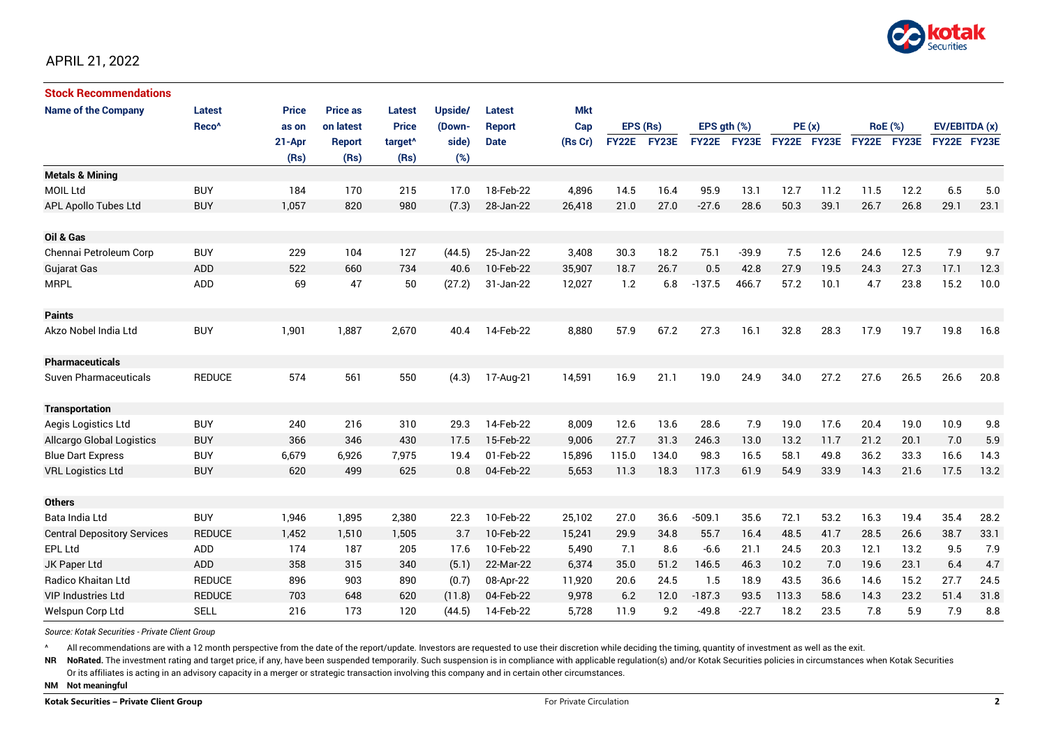

| <b>Stock Recommendations</b>       |                   |        |                 |                     |         |               |            |              |       |              |              |             |      |                |             |               |      |
|------------------------------------|-------------------|--------|-----------------|---------------------|---------|---------------|------------|--------------|-------|--------------|--------------|-------------|------|----------------|-------------|---------------|------|
| <b>Name of the Company</b>         | Latest            | Price  | <b>Price as</b> | Latest              | Upside/ | <b>Latest</b> | <b>Mkt</b> |              |       |              |              |             |      |                |             |               |      |
|                                    | Reco <sup>^</sup> | as on  | on latest       | <b>Price</b>        | (Down-  | <b>Report</b> | Cap        | EPS (Rs)     |       | EPS ath (%)  |              | PE(x)       |      | <b>RoE</b> (%) |             | EV/EBITDA (x) |      |
|                                    |                   | 21-Apr | <b>Report</b>   | target <sup>^</sup> | side)   | <b>Date</b>   | (Rs Cr)    | <b>FY22E</b> | FY23E | <b>FY22E</b> | <b>FY23E</b> | FY22E FY23E |      |                | FY22E FY23E | FY22E FY23E   |      |
|                                    |                   | (Rs)   | (Rs)            | (Rs)                | (%)     |               |            |              |       |              |              |             |      |                |             |               |      |
| <b>Metals &amp; Mining</b>         |                   |        |                 |                     |         |               |            |              |       |              |              |             |      |                |             |               |      |
| <b>MOIL Ltd</b>                    | <b>BUY</b>        | 184    | 170             | 215                 | 17.0    | 18-Feb-22     | 4,896      | 14.5         | 16.4  | 95.9         | 13.1         | 12.7        | 11.2 | 11.5           | 12.2        | 6.5           | 5.0  |
| APL Apollo Tubes Ltd               | <b>BUY</b>        | 1,057  | 820             | 980                 | (7.3)   | 28-Jan-22     | 26,418     | 21.0         | 27.0  | $-27.6$      | 28.6         | 50.3        | 39.1 | 26.7           | 26.8        | 29.1          | 23.1 |
| Oil & Gas                          |                   |        |                 |                     |         |               |            |              |       |              |              |             |      |                |             |               |      |
| Chennai Petroleum Corp             | <b>BUY</b>        | 229    | 104             | 127                 | (44.5)  | 25-Jan-22     | 3,408      | 30.3         | 18.2  | 75.1         | $-39.9$      | 7.5         | 12.6 | 24.6           | 12.5        | 7.9           | 9.7  |
| Gujarat Gas                        | <b>ADD</b>        | 522    | 660             | 734                 | 40.6    | 10-Feb-22     | 35.907     | 18.7         | 26.7  | 0.5          | 42.8         | 27.9        | 19.5 | 24.3           | 27.3        | 17.1          | 12.3 |
| <b>MRPL</b>                        | ADD               | 69     | 47              | 50                  | (27.2)  | 31-Jan-22     | 12,027     | 1.2          | 6.8   | $-137.5$     | 466.7        | 57.2        | 10.1 | 4.7            | 23.8        | 15.2          | 10.0 |
| <b>Paints</b>                      |                   |        |                 |                     |         |               |            |              |       |              |              |             |      |                |             |               |      |
| Akzo Nobel India Ltd               | <b>BUY</b>        | 1,901  | 1,887           | 2,670               | 40.4    | 14-Feb-22     | 8,880      | 57.9         | 67.2  | 27.3         | 16.1         | 32.8        | 28.3 | 17.9           | 19.7        | 19.8          | 16.8 |
| <b>Pharmaceuticals</b>             |                   |        |                 |                     |         |               |            |              |       |              |              |             |      |                |             |               |      |
| Suven Pharmaceuticals              | <b>REDUCE</b>     | 574    | 561             | 550                 | (4.3)   | 17-Aug-21     | 14,591     | 16.9         | 21.1  | 19.0         | 24.9         | 34.0        | 27.2 | 27.6           | 26.5        | 26.6          | 20.8 |
| <b>Transportation</b>              |                   |        |                 |                     |         |               |            |              |       |              |              |             |      |                |             |               |      |
| Aegis Logistics Ltd                | <b>BUY</b>        | 240    | 216             | 310                 | 29.3    | 14-Feb-22     | 8,009      | 12.6         | 13.6  | 28.6         | 7.9          | 19.0        | 17.6 | 20.4           | 19.0        | 10.9          | 9.8  |
| Allcargo Global Logistics          | <b>BUY</b>        | 366    | 346             | 430                 | 17.5    | 15-Feb-22     | 9,006      | 27.7         | 31.3  | 246.3        | 13.0         | 13.2        | 11.7 | 21.2           | 20.1        | 7.0           | 5.9  |
| <b>Blue Dart Express</b>           | <b>BUY</b>        | 6,679  | 6,926           | 7,975               | 19.4    | 01-Feb-22     | 15,896     | 115.0        | 134.0 | 98.3         | 16.5         | 58.1        | 49.8 | 36.2           | 33.3        | 16.6          | 14.3 |
| <b>VRL Logistics Ltd</b>           | <b>BUY</b>        | 620    | 499             | 625                 | 0.8     | 04-Feb-22     | 5,653      | 11.3         | 18.3  | 117.3        | 61.9         | 54.9        | 33.9 | 14.3           | 21.6        | 17.5          | 13.2 |
| <b>Others</b>                      |                   |        |                 |                     |         |               |            |              |       |              |              |             |      |                |             |               |      |
| Bata India Ltd                     | <b>BUY</b>        | 1,946  | 1,895           | 2,380               | 22.3    | 10-Feb-22     | 25,102     | 27.0         | 36.6  | $-509.1$     | 35.6         | 72.1        | 53.2 | 16.3           | 19.4        | 35.4          | 28.2 |
| <b>Central Depository Services</b> | <b>REDUCE</b>     | 1,452  | 1,510           | 1,505               | 3.7     | 10-Feb-22     | 15,241     | 29.9         | 34.8  | 55.7         | 16.4         | 48.5        | 41.7 | 28.5           | 26.6        | 38.7          | 33.1 |
| EPL Ltd                            | ADD               | 174    | 187             | 205                 | 17.6    | 10-Feb-22     | 5,490      | 7.1          | 8.6   | $-6.6$       | 21.1         | 24.5        | 20.3 | 12.1           | 13.2        | 9.5           | 7.9  |
| JK Paper Ltd                       | ADD               | 358    | 315             | 340                 | (5.1)   | 22-Mar-22     | 6,374      | 35.0         | 51.2  | 146.5        | 46.3         | 10.2        | 7.0  | 19.6           | 23.1        | 6.4           | 4.7  |
| Radico Khaitan Ltd                 | <b>REDUCE</b>     | 896    | 903             | 890                 | (0.7)   | 08-Apr-22     | 11,920     | 20.6         | 24.5  | 1.5          | 18.9         | 43.5        | 36.6 | 14.6           | 15.2        | 27.7          | 24.5 |
| <b>VIP Industries Ltd</b>          | <b>REDUCE</b>     | 703    | 648             | 620                 | (11.8)  | 04-Feb-22     | 9,978      | 6.2          | 12.0  | $-187.3$     | 93.5         | 113.3       | 58.6 | 14.3           | 23.2        | 51.4          | 31.8 |
| Welspun Corp Ltd                   | <b>SELL</b>       | 216    | 173             | 120                 | (44.5)  | 14-Feb-22     | 5,728      | 11.9         | 9.2   | $-49.8$      | $-22.7$      | 18.2        | 23.5 | 7.8            | 5.9         | 7.9           | 8.8  |

*Source: Kotak Securities - Private Client Group*

All recommendations are with a 12 month perspective from the date of the report/update. Investors are requested to use their discretion while deciding the timing, quantity of investment as well as the exit.

NR NoRated. The investment rating and target price, if any, have been suspended temporarily. Such suspension is in compliance with applicable regulation(s) and/or Kotak Securities policies in circumstances when Kotak Secur

Or its affiliates is acting in an advisory capacity in a merger or strategic transaction involving this company and in certain other circumstances.

**NM Not meaningful**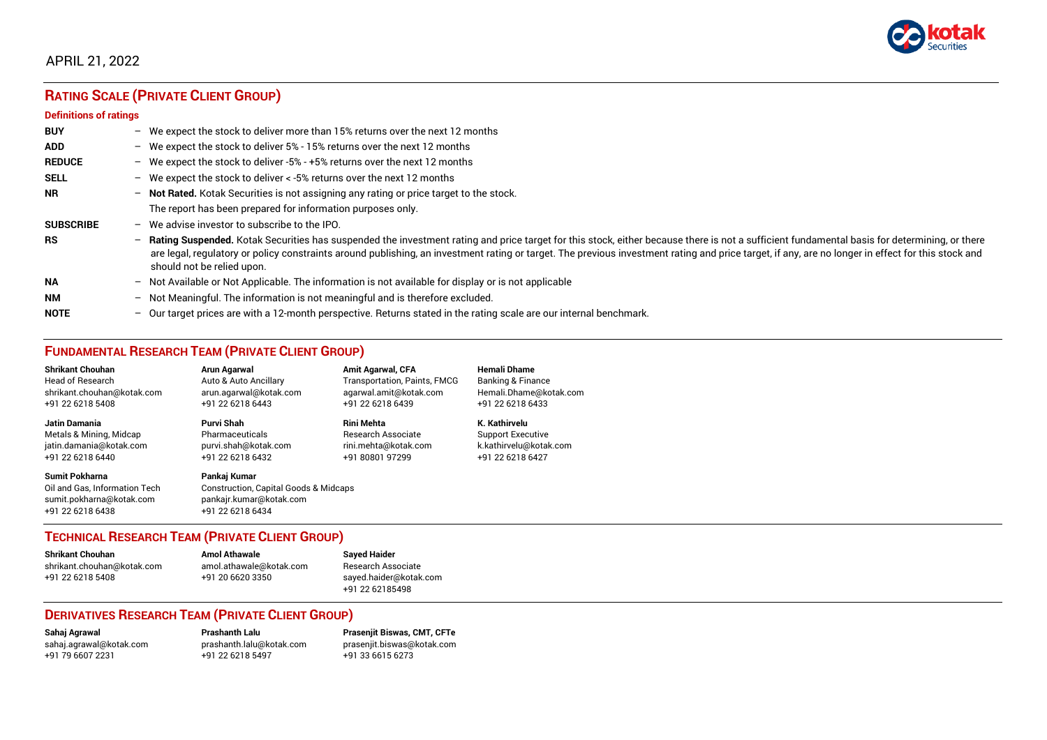

# **RATING SCALE (PRIVATE CLIENT GROUP)**

#### **Definitions of ratings**

| <b>BUY</b>       |                          | - We expect the stock to deliver more than 15% returns over the next 12 months                                                                                                                                                                                                                                                                                                                                                   |
|------------------|--------------------------|----------------------------------------------------------------------------------------------------------------------------------------------------------------------------------------------------------------------------------------------------------------------------------------------------------------------------------------------------------------------------------------------------------------------------------|
| <b>ADD</b>       |                          | - We expect the stock to deliver $5\%$ - 15% returns over the next 12 months                                                                                                                                                                                                                                                                                                                                                     |
| <b>REDUCE</b>    |                          | - We expect the stock to deliver -5% - +5% returns over the next 12 months                                                                                                                                                                                                                                                                                                                                                       |
| <b>SELL</b>      | $-$                      | We expect the stock to deliver < -5% returns over the next 12 months                                                                                                                                                                                                                                                                                                                                                             |
| <b>NR</b>        | $\overline{\phantom{0}}$ | Not Rated. Kotak Securities is not assigning any rating or price target to the stock.                                                                                                                                                                                                                                                                                                                                            |
|                  |                          | The report has been prepared for information purposes only.                                                                                                                                                                                                                                                                                                                                                                      |
| <b>SUBSCRIBE</b> | $-$                      | We advise investor to subscribe to the IPO.                                                                                                                                                                                                                                                                                                                                                                                      |
| <b>RS</b>        | $\overline{\phantom{0}}$ | Rating Suspended. Kotak Securities has suspended the investment rating and price target for this stock, either because there is not a sufficient fundamental basis for determining, or there<br>are legal, regulatory or policy constraints around publishing, an investment rating or target. The previous investment rating and price target, if any, are no longer in effect for this stock and<br>should not be relied upon. |
| <b>NA</b>        | $\overline{\phantom{0}}$ | Not Available or Not Applicable. The information is not available for display or is not applicable                                                                                                                                                                                                                                                                                                                               |
| <b>NM</b>        | $\overline{\phantom{0}}$ | Not Meaningful. The information is not meaningful and is therefore excluded.                                                                                                                                                                                                                                                                                                                                                     |
| <b>NOTE</b>      | $\overline{\phantom{0}}$ | Our target prices are with a 12-month perspective. Returns stated in the rating scale are our internal benchmark.                                                                                                                                                                                                                                                                                                                |

## **FUNDAMENTAL RESEARCH TEAM (PRIVATE CLIENT GROUP)**

| <b>Shrikant Chouhan</b>                                                                                | Arun Agarwal                                                                                                    | <b>Amit Agarwal, CFA</b>            | <b>Hemali Dhame</b>          |
|--------------------------------------------------------------------------------------------------------|-----------------------------------------------------------------------------------------------------------------|-------------------------------------|------------------------------|
| <b>Head of Research</b>                                                                                | Auto & Auto Ancillary                                                                                           | <b>Transportation, Paints, FMCG</b> | <b>Banking &amp; Finance</b> |
| shrikant.chouhan@kotak.com                                                                             | arun.agarwal@kotak.com                                                                                          | agarwal.amit@kotak.com              | Hemali.Dhame@kotak.com       |
| +91 22 6218 5408                                                                                       | +91 22 6218 6443                                                                                                | +91 22 6218 6439                    | +91 22 6218 6433             |
| <b>Jatin Damania</b>                                                                                   | Purvi Shah                                                                                                      | Rini Mehta                          | K. Kathirvelu                |
| Metals & Mining, Midcap                                                                                | Pharmaceuticals                                                                                                 | <b>Research Associate</b>           | <b>Support Executive</b>     |
| jatin.damania@kotak.com                                                                                | purvi.shah@kotak.com                                                                                            | rini.mehta@kotak.com                | k.kathirvelu@kotak.com       |
| +91 22 6218 6440                                                                                       | +91 22 6218 6432                                                                                                | +91 80801 97299                     | +91 22 6218 6427             |
| <b>Sumit Pokharna</b><br>Oil and Gas, Information Tech<br>sumit.pokharna@kotak.com<br>+91 22 6218 6438 | Pankaj Kumar<br><b>Construction, Capital Goods &amp; Midcaps</b><br>pankajr.kumar@kotak.com<br>+91 22 6218 6434 |                                     |                              |

### **TECHNICAL RESEARCH TEAM (PRIVATE CLIENT GROUP)**

**Shrikant Chouhan Amol Athawale Sayed Haider** [shrikant.chouhan@kotak.com](mailto:shrikant.chouhan@kotak.com) [amol.athawale@kotak.com](mailto:amol.athawale@kotak.com) Research Associate<br>
+91 22 6218 5408 +91 20 6620 3350 saved.haider@kotak

[sayed.haider@kotak.com](mailto:sayed.haider@kotak.com) +91 22 62185498

#### **DERIVATIVES RESEARCH TEAM (PRIVATE CLIENT GROUP)**

+91 79 6607 2231 +91 22 6218 5497 +91 33 6615 6273

**Sahaj Agrawal Prashanth Lalu Prasenjit Biswas, CMT, CFTe** [sahaj.agrawal@kotak.com](mailto:sahaj.agrawal@kotak.com) [prashanth.lalu@kotak.com](mailto:prashanth.lalu@kotak.com) [prasenjit.biswas@kotak.com](mailto:prasenjit.biswas@kotak.com)